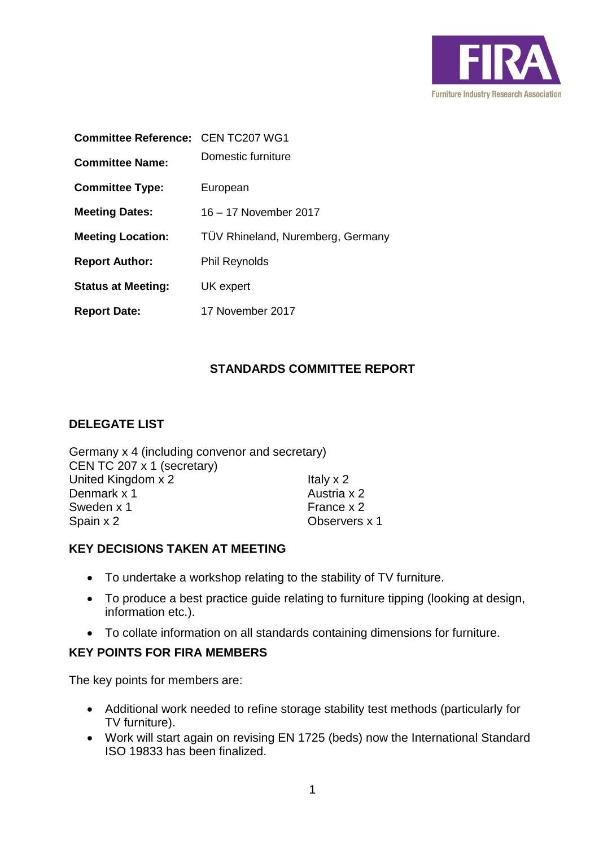

| <b>Committee Reference: CEN TC207 WG1</b> |                                   |
|-------------------------------------------|-----------------------------------|
| <b>Committee Name:</b>                    | Domestic furniture                |
| <b>Committee Type:</b>                    | European                          |
| <b>Meeting Dates:</b>                     | 16 - 17 November 2017             |
| <b>Meeting Location:</b>                  | TÜV Rhineland, Nuremberg, Germany |
| <b>Report Author:</b>                     | <b>Phil Reynolds</b>              |
| <b>Status at Meeting:</b>                 | UK expert                         |
| <b>Report Date:</b>                       | 17 November 2017                  |

# **STANDARDS COMMITTEE REPORT**

## **DELEGATE LIST**

Germany x 4 (including convenor and secretary) CEN TC 207 x 1 (secretary) United Kingdom  $x$  2 Italy  $x$  2 Denmark x 1 Austria x 2<br>
Sweden x 1 **Austria x 2** Sweden  $x$  1 Spain x 2 Observers x 1

## **KEY DECISIONS TAKEN AT MEETING**

- To undertake a workshop relating to the stability of TV furniture.
- To produce a best practice guide relating to furniture tipping (looking at design, information etc.).
- To collate information on all standards containing dimensions for furniture.

#### **KEY POINTS FOR FIRA MEMBERS**

The key points for members are:

- Additional work needed to refine storage stability test methods (particularly for TV furniture).
- Work will start again on revising EN 1725 (beds) now the International Standard ISO 19833 has been finalized.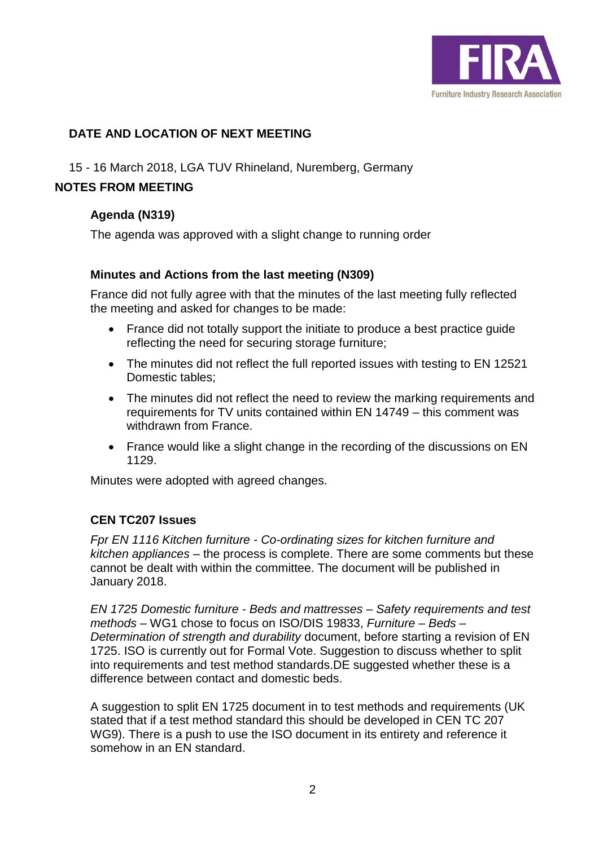

## **DATE AND LOCATION OF NEXT MEETING**

### 15 - 16 March 2018, LGA TUV Rhineland, Nuremberg, Germany

### **NOTES FROM MEETING**

### **Agenda (N319)**

The agenda was approved with a slight change to running order

### **Minutes and Actions from the last meeting (N309)**

France did not fully agree with that the minutes of the last meeting fully reflected the meeting and asked for changes to be made:

- France did not totally support the initiate to produce a best practice guide reflecting the need for securing storage furniture;
- The minutes did not reflect the full reported issues with testing to EN 12521 Domestic tables;
- The minutes did not reflect the need to review the marking requirements and requirements for TV units contained within EN 14749 – this comment was withdrawn from France.
- France would like a slight change in the recording of the discussions on EN 1129.

Minutes were adopted with agreed changes.

## **CEN TC207 Issues**

*Fpr EN 1116 Kitchen furniture - Co-ordinating sizes for kitchen furniture and kitchen appliances* – the process is complete. There are some comments but these cannot be dealt with within the committee. The document will be published in January 2018.

*EN 1725 Domestic furniture - Beds and mattresses – Safety requirements and test methods* – WG1 chose to focus on ISO/DIS 19833, *Furniture – Beds – Determination of strength and durability* document, before starting a revision of EN 1725. ISO is currently out for Formal Vote. Suggestion to discuss whether to split into requirements and test method standards.DE suggested whether these is a difference between contact and domestic beds.

A suggestion to split EN 1725 document in to test methods and requirements (UK stated that if a test method standard this should be developed in CEN TC 207 WG9). There is a push to use the ISO document in its entirety and reference it somehow in an EN standard.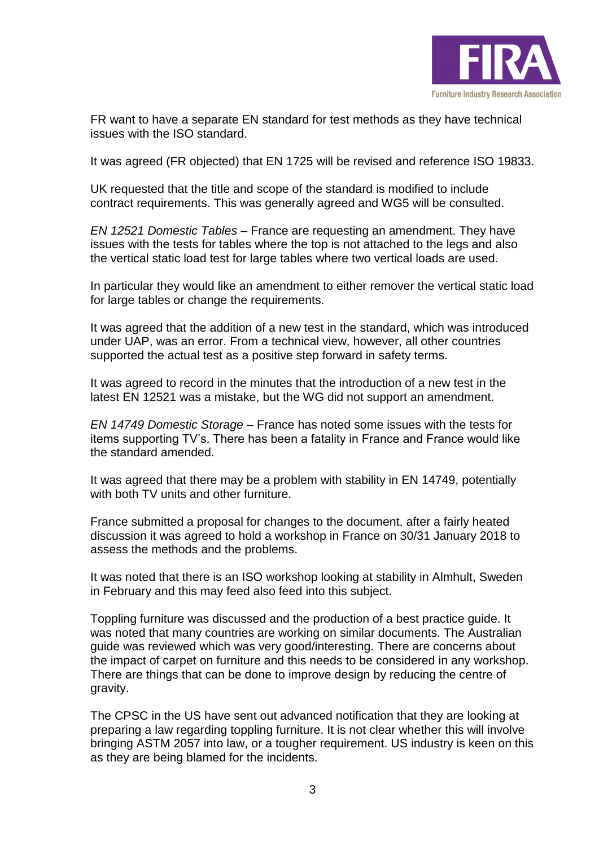

FR want to have a separate EN standard for test methods as they have technical issues with the ISO standard.

It was agreed (FR objected) that EN 1725 will be revised and reference ISO 19833.

UK requested that the title and scope of the standard is modified to include contract requirements. This was generally agreed and WG5 will be consulted.

*EN 12521 Domestic Tables* – France are requesting an amendment. They have issues with the tests for tables where the top is not attached to the legs and also the vertical static load test for large tables where two vertical loads are used.

In particular they would like an amendment to either remover the vertical static load for large tables or change the requirements.

It was agreed that the addition of a new test in the standard, which was introduced under UAP, was an error. From a technical view, however, all other countries supported the actual test as a positive step forward in safety terms.

It was agreed to record in the minutes that the introduction of a new test in the latest EN 12521 was a mistake, but the WG did not support an amendment.

*EN 14749 Domestic Storage* – France has noted some issues with the tests for items supporting TV's. There has been a fatality in France and France would like the standard amended.

It was agreed that there may be a problem with stability in EN 14749, potentially with both TV units and other furniture.

France submitted a proposal for changes to the document, after a fairly heated discussion it was agreed to hold a workshop in France on 30/31 January 2018 to assess the methods and the problems.

It was noted that there is an ISO workshop looking at stability in Almhult, Sweden in February and this may feed also feed into this subject.

Toppling furniture was discussed and the production of a best practice guide. It was noted that many countries are working on similar documents. The Australian guide was reviewed which was very good/interesting. There are concerns about the impact of carpet on furniture and this needs to be considered in any workshop. There are things that can be done to improve design by reducing the centre of gravity.

The CPSC in the US have sent out advanced notification that they are looking at preparing a law regarding toppling furniture. It is not clear whether this will involve bringing ASTM 2057 into law, or a tougher requirement. US industry is keen on this as they are being blamed for the incidents.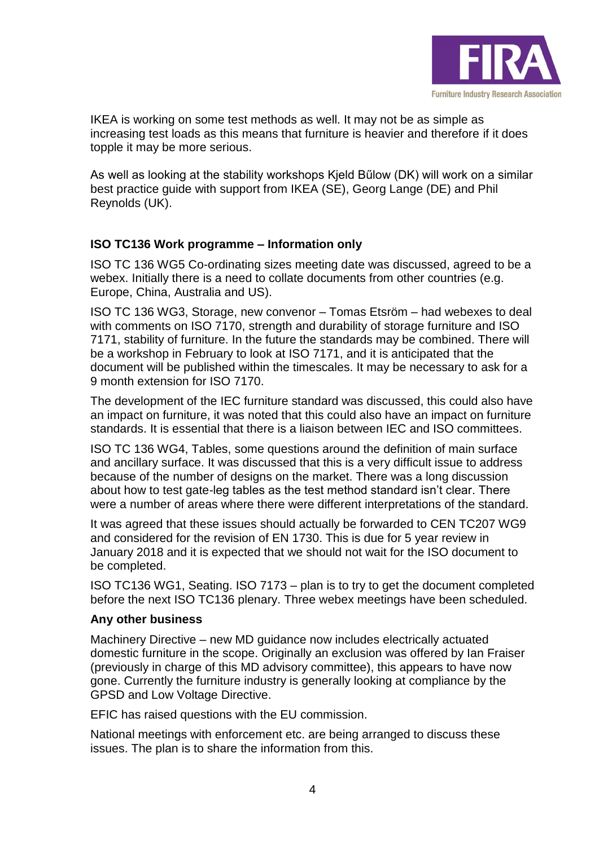

IKEA is working on some test methods as well. It may not be as simple as increasing test loads as this means that furniture is heavier and therefore if it does topple it may be more serious.

As well as looking at the stability workshops Kjeld Bűlow (DK) will work on a similar best practice guide with support from IKEA (SE), Georg Lange (DE) and Phil Reynolds (UK).

## **ISO TC136 Work programme – Information only**

ISO TC 136 WG5 Co-ordinating sizes meeting date was discussed, agreed to be a webex. Initially there is a need to collate documents from other countries (e.g. Europe, China, Australia and US).

ISO TC 136 WG3, Storage, new convenor – Tomas Etsröm – had webexes to deal with comments on ISO 7170, strength and durability of storage furniture and ISO 7171, stability of furniture. In the future the standards may be combined. There will be a workshop in February to look at ISO 7171, and it is anticipated that the document will be published within the timescales. It may be necessary to ask for a 9 month extension for ISO 7170.

The development of the IEC furniture standard was discussed, this could also have an impact on furniture, it was noted that this could also have an impact on furniture standards. It is essential that there is a liaison between IEC and ISO committees.

ISO TC 136 WG4, Tables, some questions around the definition of main surface and ancillary surface. It was discussed that this is a very difficult issue to address because of the number of designs on the market. There was a long discussion about how to test gate-leg tables as the test method standard isn't clear. There were a number of areas where there were different interpretations of the standard.

It was agreed that these issues should actually be forwarded to CEN TC207 WG9 and considered for the revision of EN 1730. This is due for 5 year review in January 2018 and it is expected that we should not wait for the ISO document to be completed.

ISO TC136 WG1, Seating. ISO 7173 – plan is to try to get the document completed before the next ISO TC136 plenary. Three webex meetings have been scheduled.

#### **Any other business**

Machinery Directive – new MD guidance now includes electrically actuated domestic furniture in the scope. Originally an exclusion was offered by Ian Fraiser (previously in charge of this MD advisory committee), this appears to have now gone. Currently the furniture industry is generally looking at compliance by the GPSD and Low Voltage Directive.

EFIC has raised questions with the EU commission.

National meetings with enforcement etc. are being arranged to discuss these issues. The plan is to share the information from this.